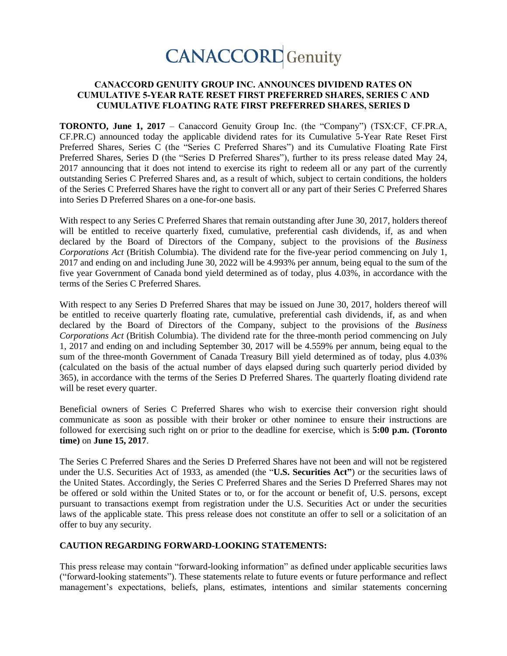# **CANACCORD** Genuity

### **CANACCORD GENUITY GROUP INC. ANNOUNCES DIVIDEND RATES ON CUMULATIVE 5-YEAR RATE RESET FIRST PREFERRED SHARES, SERIES C AND CUMULATIVE FLOATING RATE FIRST PREFERRED SHARES, SERIES D**

**TORONTO, June 1, 2017** – Canaccord Genuity Group Inc. (the "Company") (TSX:CF, CF.PR.A, CF.PR.C) announced today the applicable dividend rates for its Cumulative 5-Year Rate Reset First Preferred Shares, Series C (the "Series C Preferred Shares") and its Cumulative Floating Rate First Preferred Shares, Series D (the "Series D Preferred Shares"), further to its press release dated May 24, 2017 announcing that it does not intend to exercise its right to redeem all or any part of the currently outstanding Series C Preferred Shares and, as a result of which, subject to certain conditions, the holders of the Series C Preferred Shares have the right to convert all or any part of their Series C Preferred Shares into Series D Preferred Shares on a one-for-one basis.

With respect to any Series C Preferred Shares that remain outstanding after June 30, 2017, holders thereof will be entitled to receive quarterly fixed, cumulative, preferential cash dividends, if, as and when declared by the Board of Directors of the Company, subject to the provisions of the *Business Corporations Act* (British Columbia). The dividend rate for the five-year period commencing on July 1, 2017 and ending on and including June 30, 2022 will be 4.993% per annum, being equal to the sum of the five year Government of Canada bond yield determined as of today, plus 4.03%, in accordance with the terms of the Series C Preferred Shares.

With respect to any Series D Preferred Shares that may be issued on June 30, 2017, holders thereof will be entitled to receive quarterly floating rate, cumulative, preferential cash dividends, if, as and when declared by the Board of Directors of the Company, subject to the provisions of the *Business Corporations Act* (British Columbia). The dividend rate for the three-month period commencing on July 1, 2017 and ending on and including September 30, 2017 will be 4.559% per annum, being equal to the sum of the three-month Government of Canada Treasury Bill yield determined as of today, plus 4.03% (calculated on the basis of the actual number of days elapsed during such quarterly period divided by 365), in accordance with the terms of the Series D Preferred Shares. The quarterly floating dividend rate will be reset every quarter.

Beneficial owners of Series C Preferred Shares who wish to exercise their conversion right should communicate as soon as possible with their broker or other nominee to ensure their instructions are followed for exercising such right on or prior to the deadline for exercise, which is **5:00 p.m. (Toronto time)** on **June 15, 2017**.

The Series C Preferred Shares and the Series D Preferred Shares have not been and will not be registered under the U.S. Securities Act of 1933, as amended (the "**U.S. Securities Act"**) or the securities laws of the United States. Accordingly, the Series C Preferred Shares and the Series D Preferred Shares may not be offered or sold within the United States or to, or for the account or benefit of, U.S. persons, except pursuant to transactions exempt from registration under the U.S. Securities Act or under the securities laws of the applicable state. This press release does not constitute an offer to sell or a solicitation of an offer to buy any security.

#### **CAUTION REGARDING FORWARD-LOOKING STATEMENTS:**

This press release may contain "forward-looking information" as defined under applicable securities laws ("forward-looking statements"). These statements relate to future events or future performance and reflect management's expectations, beliefs, plans, estimates, intentions and similar statements concerning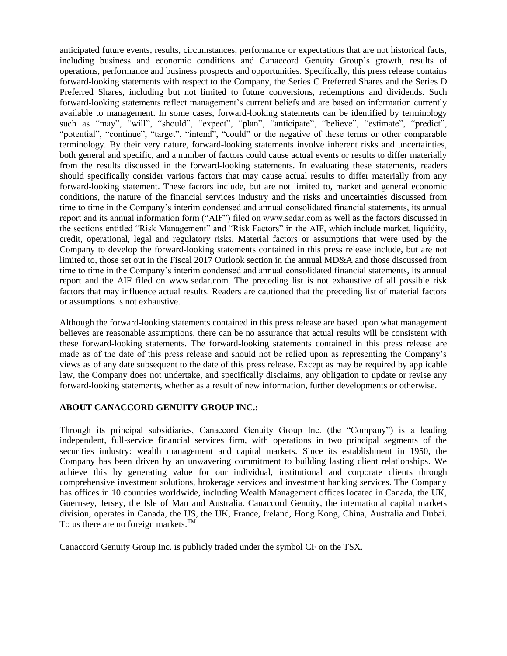anticipated future events, results, circumstances, performance or expectations that are not historical facts, including business and economic conditions and Canaccord Genuity Group's growth, results of operations, performance and business prospects and opportunities. Specifically, this press release contains forward-looking statements with respect to the Company, the Series C Preferred Shares and the Series D Preferred Shares, including but not limited to future conversions, redemptions and dividends. Such forward-looking statements reflect management's current beliefs and are based on information currently available to management. In some cases, forward-looking statements can be identified by terminology such as "may", "will", "should", "expect", "plan", "anticipate", "believe", "estimate", "predict", "potential", "continue", "target", "intend", "could" or the negative of these terms or other comparable terminology. By their very nature, forward-looking statements involve inherent risks and uncertainties, both general and specific, and a number of factors could cause actual events or results to differ materially from the results discussed in the forward-looking statements. In evaluating these statements, readers should specifically consider various factors that may cause actual results to differ materially from any forward-looking statement. These factors include, but are not limited to, market and general economic conditions, the nature of the financial services industry and the risks and uncertainties discussed from time to time in the Company's interim condensed and annual consolidated financial statements, its annual report and its annual information form ("AIF") filed on www.sedar.com as well as the factors discussed in the sections entitled "Risk Management" and "Risk Factors" in the AIF, which include market, liquidity, credit, operational, legal and regulatory risks. Material factors or assumptions that were used by the Company to develop the forward-looking statements contained in this press release include, but are not limited to, those set out in the Fiscal 2017 Outlook section in the annual MD&A and those discussed from time to time in the Company's interim condensed and annual consolidated financial statements, its annual report and the AIF filed on www.sedar.com. The preceding list is not exhaustive of all possible risk factors that may influence actual results. Readers are cautioned that the preceding list of material factors or assumptions is not exhaustive.

Although the forward-looking statements contained in this press release are based upon what management believes are reasonable assumptions, there can be no assurance that actual results will be consistent with these forward-looking statements. The forward-looking statements contained in this press release are made as of the date of this press release and should not be relied upon as representing the Company's views as of any date subsequent to the date of this press release. Except as may be required by applicable law, the Company does not undertake, and specifically disclaims, any obligation to update or revise any forward-looking statements, whether as a result of new information, further developments or otherwise.

#### **ABOUT CANACCORD GENUITY GROUP INC.:**

Through its principal subsidiaries, Canaccord Genuity Group Inc. (the "Company") is a leading independent, full-service financial services firm, with operations in two principal segments of the securities industry: wealth management and capital markets. Since its establishment in 1950, the Company has been driven by an unwavering commitment to building lasting client relationships. We achieve this by generating value for our individual, institutional and corporate clients through comprehensive investment solutions, brokerage services and investment banking services. The Company has offices in 10 countries worldwide, including Wealth Management offices located in Canada, the UK, Guernsey, Jersey, the Isle of Man and Australia. Canaccord Genuity, the international capital markets division, operates in Canada, the US, the UK, France, Ireland, Hong Kong, China, Australia and Dubai. To us there are no foreign markets. $^{TM}$ 

Canaccord Genuity Group Inc. is publicly traded under the symbol CF on the TSX.